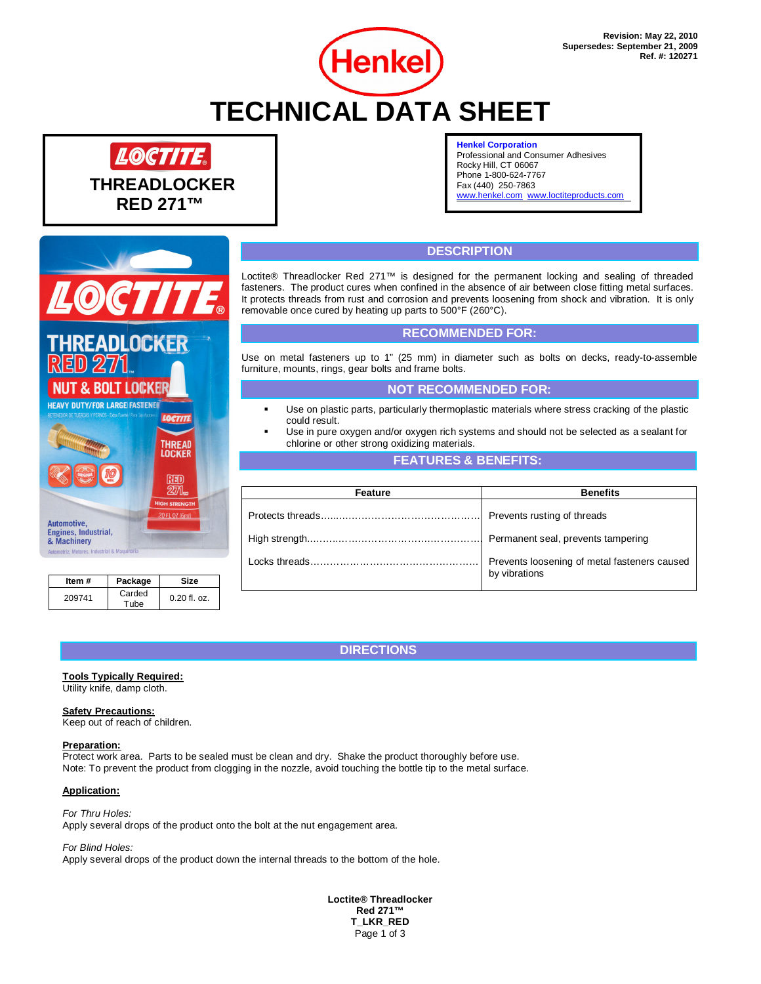# **TECHNICAL DATA SHEET**

**Henkel** 



#### **Henkel Corporation**

Professional and Consumer Adhesives Rocky Hill, CT 06067 Phone 1-800-624-7767 Fax (440) 250-7863 [www.henkel.com](http://www.henkel.com/) [www.loctiteproducts.com](http://www.loctiteproducts.com/)

# **DESCRIPTION**

Loctite® Threadlocker Red 271™ is designed for the permanent locking and sealing of threaded fasteners. The product cures when confined in the absence of air between close fitting metal surfaces. It protects threads from rust and corrosion and prevents loosening from shock and vibration. It is only removable once cured by heating up parts to 500°F (260°C).

## **RECOMMENDED FOR:**

Use on metal fasteners up to 1" (25 mm) in diameter such as bolts on decks, ready-to-assemble furniture, mounts, rings, gear bolts and frame bolts.

## **NOT RECOMMENDED FOR:**

- Use on plastic parts, particularly thermoplastic materials where stress cracking of the plastic could result.
- Use in pure oxygen and/or oxygen rich systems and should not be selected as a sealant for chlorine or other strong oxidizing materials.

## **FEATURES & BENEFITS:**

| Feature | <b>Benefits</b>                                               |  |
|---------|---------------------------------------------------------------|--|
|         | Prevents rusting of threads                                   |  |
|         |                                                               |  |
|         | Prevents loosening of metal fasteners caused<br>by vibrations |  |

## **DIRECTIONS**

### **Tools Typically Required:**

**Item # Package Size**

**EADLOCKER** 

**NUT & BOLT LOCKER HEAVY DUTY/FOR LARGE FASTENED** 

 $0.20$  fl. oz.

**THREAD<br>LOCKER** 

RED 9276

Utility knife, damp cloth.

#### **Safety Precautions:**

209741 Carded<br>Tube

**Automotive.** Engines, Industrial,<br>& Machinery

Keep out of reach of children.

#### **Preparation:**

Protect work area. Parts to be sealed must be clean and dry. Shake the product thoroughly before use. Note: To prevent the product from clogging in the nozzle, avoid touching the bottle tip to the metal surface.

#### **Application:**

*For Thru Holes:* Apply several drops of the product onto the bolt at the nut engagement area.

#### *For Blind Holes:*

Apply several drops of the product down the internal threads to the bottom of the hole.

**Loctite® Threadlocker Red 271™ T\_LKR\_RED** Page 1 of 3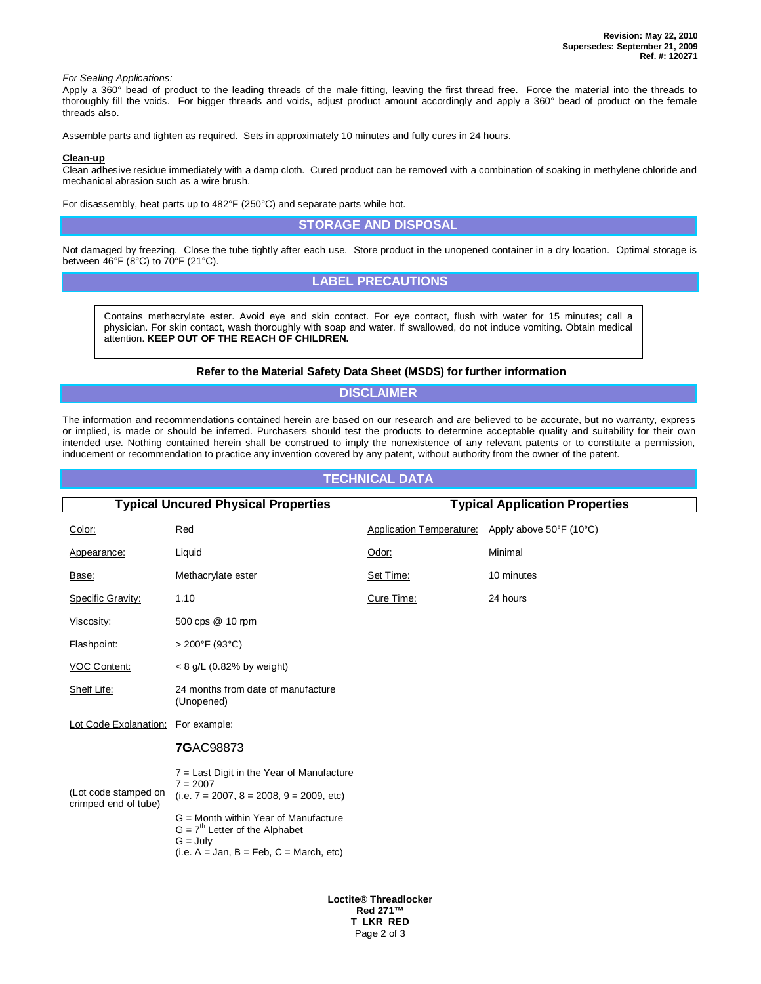*For Sealing Applications:*

Apply a 360° bead of product to the leading threads of the male fitting, leaving the first thread free. Force the material into the threads to thoroughly fill the voids. For bigger threads and voids, adjust product amount accordingly and apply a 360° bead of product on the female threads also.

Assemble parts and tighten as required. Sets in approximately 10 minutes and fully cures in 24 hours.

#### **Clean-up**

Clean adhesive residue immediately with a damp cloth. Cured product can be removed with a combination of soaking in methylene chloride and mechanical abrasion such as a wire brush.

For disassembly, heat parts up to 482°F (250°C) and separate parts while hot.

## **STORAGE AND DISPOSAL**

Not damaged by freezing. Close the tube tightly after each use. Store product in the unopened container in a dry location. Optimal storage is between 46°F (8°C) to 70°F (21°C).

## **LABEL PRECAUTIONS**

Contains methacrylate ester. Avoid eye and skin contact. For eye contact, flush with water for 15 minutes; call a physician. For skin contact, wash thoroughly with soap and water. If swallowed, do not induce vomiting. Obtain medical attention. **KEEP OUT OF THE REACH OF CHILDREN.**

#### **Refer to the Material Safety Data Sheet (MSDS) for further information**

## **DISCLAIMER**

The information and recommendations contained herein are based on our research and are believed to be accurate, but no warranty, express or implied, is made or should be inferred. Purchasers should test the products to determine acceptable quality and suitability for their own intended use. Nothing contained herein shall be construed to imply the nonexistence of any relevant patents or to constitute a permission, inducement or recommendation to practice any invention covered by any patent, without authority from the owner of the patent.

## **TECHNICAL DATA**

| <b>Typical Uncured Physical Properties</b>   |                                                                                                                                     | <b>Typical Application Properties</b> |                         |  |
|----------------------------------------------|-------------------------------------------------------------------------------------------------------------------------------------|---------------------------------------|-------------------------|--|
| Color:                                       | Red                                                                                                                                 | Application Temperature:              | Apply above 50°F (10°C) |  |
| Appearance:                                  | Liquid                                                                                                                              | Odor:                                 | Minimal                 |  |
| Base:                                        | Methacrylate ester                                                                                                                  | Set Time:                             | 10 minutes              |  |
| Specific Gravity:                            | 1.10                                                                                                                                | Cure Time:                            | 24 hours                |  |
| Viscosity:                                   | 500 cps @ 10 rpm                                                                                                                    |                                       |                         |  |
| Flashpoint:                                  | $>200^{\circ}$ F (93°C)                                                                                                             |                                       |                         |  |
| <b>VOC Content:</b>                          | $< 8$ g/L (0.82% by weight)                                                                                                         |                                       |                         |  |
| Shelf Life:                                  | 24 months from date of manufacture<br>(Unopened)                                                                                    |                                       |                         |  |
| Lot Code Explanation:                        | For example:                                                                                                                        |                                       |                         |  |
|                                              | <b>7GAC98873</b>                                                                                                                    |                                       |                         |  |
| (Lot code stamped on<br>crimped end of tube) | $7$ = Last Digit in the Year of Manufacture<br>$7 = 2007$<br>$(i.e. 7 = 2007, 8 = 2008, 9 = 2009, etc)$                             |                                       |                         |  |
|                                              | G = Month within Year of Manufacture<br>$G = 7th$ Letter of the Alphabet<br>$G = July$<br>$(i.e. A = Jan, B = Feb, C = March, etc)$ |                                       |                         |  |

**Loctite® Threadlocker Red 271™ T\_LKR\_RED** Page 2 of 3